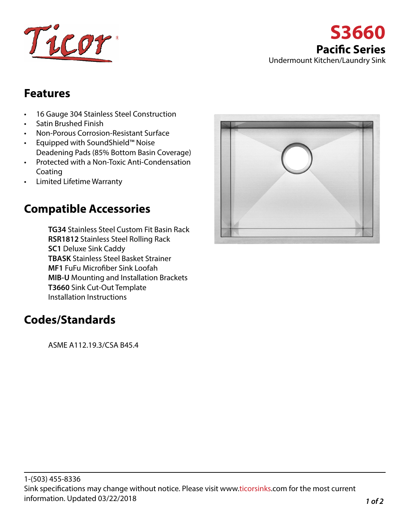



## **Features**

- 16 Gauge 304 Stainless Steel Construction
- Satin Brushed Finish
- Non-Porous Corrosion-Resistant Surface
- Equipped with SoundShield™ Noise Deadening Pads (85% Bottom Basin Coverage)
- Protected with a Non-Toxic Anti-Condensation Coating
- Limited Lifetime Warranty

## **Compatible Accessories**

**TG34** Stainless Steel Custom Fit Basin Rack **RSR1812** Stainless Steel Rolling Rack **SC1** Deluxe Sink Caddy **TBASK** Stainless Steel Basket Strainer **MF1** FuFu Microfiber Sink Loofah **MIB-U** Mounting and Installation Brackets **T3660** Sink Cut-Out Template Installation Instructions

## **Codes/Standards**

ASME A112.19.3/CSA B45.4